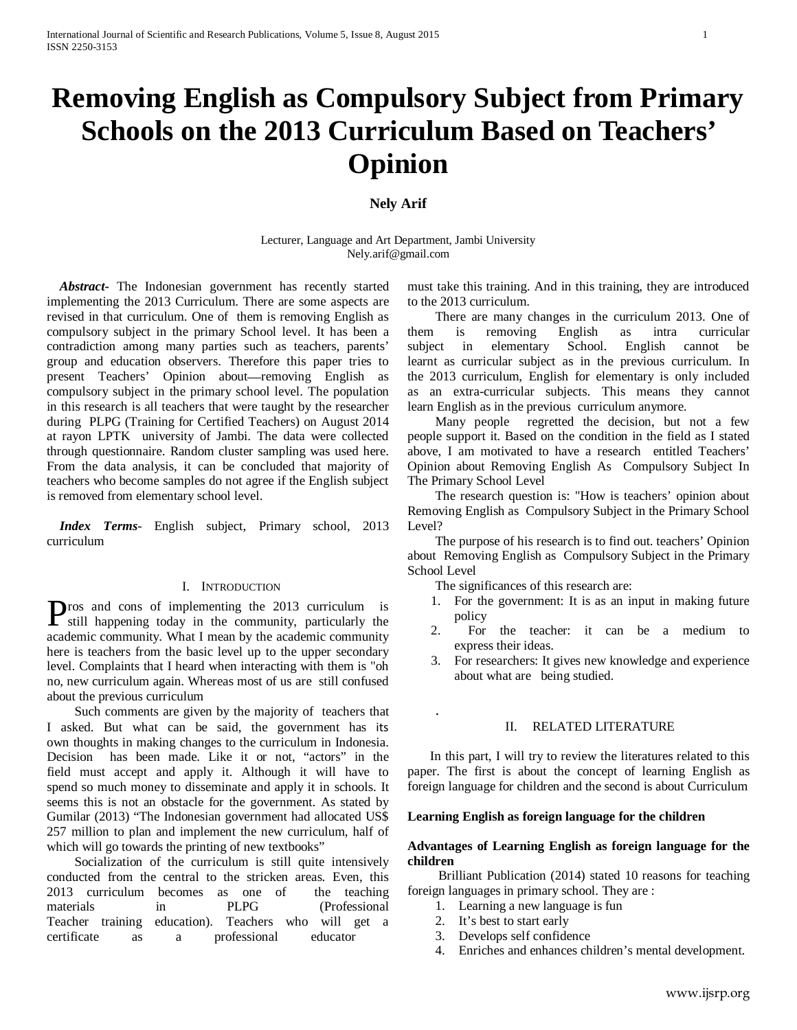# **Removing English as Compulsory Subject from Primary Schools on the 2013 Curriculum Based on Teachers' Opinion**

## **Nely Arif**

Lecturer, Language and Art Department, Jambi University Nely.arif@gmail.com

 *Abstract***-** The Indonesian government has recently started implementing the 2013 Curriculum. There are some aspects are revised in that curriculum. One of them is removing English as compulsory subject in the primary School level. It has been a contradiction among many parties such as teachers, parents' group and education observers. Therefore this paper tries to present Teachers' Opinion about—removing English as compulsory subject in the primary school level. The population in this research is all teachers that were taught by the researcher during PLPG (Training for Certified Teachers) on August 2014 at rayon LPTK university of Jambi. The data were collected through questionnaire. Random cluster sampling was used here. From the data analysis, it can be concluded that majority of teachers who become samples do not agree if the English subject is removed from elementary school level.

 *Index Terms*- English subject, Primary school, 2013 curriculum

## I. INTRODUCTION

ros and cons of implementing the 2013 curriculum is **Pros** and cons of implementing the 2013 curriculum is still happening today in the community, particularly the academic community. What I mean by the academic community here is teachers from the basic level up to the upper secondary level. Complaints that I heard when interacting with them is "oh no, new curriculum again. Whereas most of us are still confused about the previous curriculum

Such comments are given by the majority of teachers that I asked. But what can be said, the government has its own thoughts in making changes to the curriculum in Indonesia. Decision has been made. Like it or not, "actors" in the field must accept and apply it. Although it will have to spend so much money to disseminate and apply it in schools. It seems this is not an obstacle for the government. As stated by Gumilar (2013) "The Indonesian government had allocated US\$ 257 million to plan and implement the new curriculum, half of which will go towards the printing of new textbooks"

Socialization of the curriculum is still quite intensively conducted from the central to the stricken areas. Even, this 2013 curriculum becomes as one of the teaching materials in PLPG (Professional Teacher training education). Teachers who will get a certificate as a professional educator

must take this training. And in this training, they are introduced to the 2013 curriculum.

There are many changes in the curriculum 2013. One of them is removing English as intra curricular subject in elementary School. English cannot be learnt as curricular subject as in the previous curriculum. In the 2013 curriculum, English for elementary is only included as an extra-curricular subjects. This means they cannot learn English as in the previous curriculum anymore.

Many people regretted the decision, but not a few people support it. Based on the condition in the field as I stated above, I am motivated to have a research entitled Teachers' Opinion about Removing English As Compulsory Subject In The Primary School Level

The research question is: "How is teachers' opinion about Removing English as Compulsory Subject in the Primary School Level?

The purpose of his research is to find out. teachers' Opinion about Removing English as Compulsory Subject in the Primary School Level

The significances of this research are:

- 1. For the government: It is as an input in making future policy
- 2. For the teacher: it can be a medium to express their ideas.
- 3. For researchers: It gives new knowledge and experience about what are being studied.

## II. RELATED LITERATURE

In this part, I will try to review the literatures related to this paper. The first is about the concept of learning English as foreign language for children and the second is about Curriculum

#### **Learning English as foreign language for the children**

#### **Advantages of Learning English as foreign language for the children**

Brilliant Publication (2014) stated 10 reasons for teaching foreign languages in primary school. They are :

- 1. Learning a new language is fun
- 2. It's best to start early

.

- 3. Develops self confidence
- 4. Enriches and enhances children's mental development.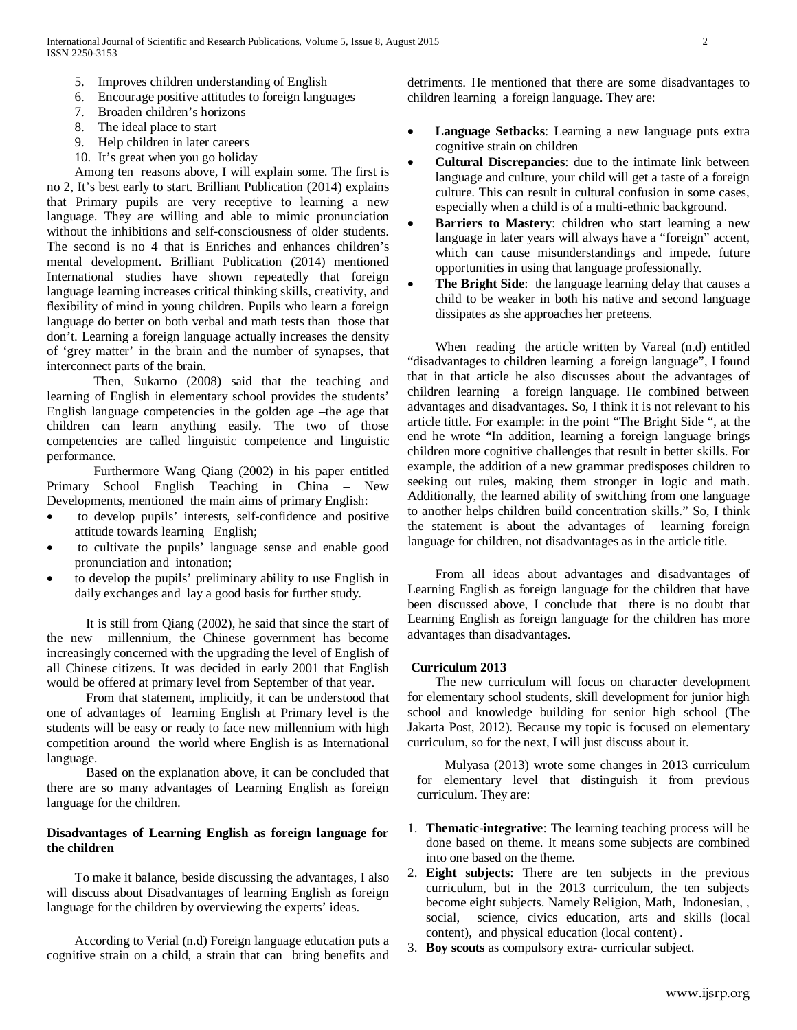- 5. Improves children understanding of English
- 6. Encourage positive attitudes to foreign languages
- 7. Broaden children's horizons
- 8. The ideal place to start
- 9. Help children in later careers
- 10. It's great when you go holiday

Among ten reasons above, I will explain some. The first is no 2, It's best early to start. Brilliant Publication (2014) explains that Primary pupils are very receptive to learning a new language. They are willing and able to mimic pronunciation without the inhibitions and self-consciousness of older students. The second is no 4 that is Enriches and enhances children's mental development. Brilliant Publication (2014) mentioned International studies have shown repeatedly that foreign language learning increases critical thinking skills, creativity, and flexibility of mind in young children. Pupils who learn a foreign language do better on both verbal and math tests than those that don't. Learning a foreign language actually increases the density of 'grey matter' in the brain and the number of synapses, that interconnect parts of the brain.

Then, Sukarno (2008) said that the teaching and learning of English in elementary school provides the students' English language competencies in the golden age –the age that children can learn anything easily. The two of those competencies are called linguistic competence and linguistic performance.

Furthermore Wang Qiang (2002) in his paper entitled Primary School English Teaching in China – New Developments, mentioned the main aims of primary English:

- to develop pupils' interests, self-confidence and positive attitude towards learning English;
- to cultivate the pupils' language sense and enable good pronunciation and intonation;
- to develop the pupils' preliminary ability to use English in daily exchanges and lay a good basis for further study.

It is still from Qiang (2002), he said that since the start of the new millennium, the Chinese government has become increasingly concerned with the upgrading the level of English of all Chinese citizens. It was decided in early 2001 that English would be offered at primary level from September of that year.

From that statement, implicitly, it can be understood that one of advantages of learning English at Primary level is the students will be easy or ready to face new millennium with high competition around the world where English is as International language.

Based on the explanation above, it can be concluded that there are so many advantages of Learning English as foreign language for the children.

## **Disadvantages of Learning English as foreign language for the children**

To make it balance, beside discussing the advantages, I also will discuss about Disadvantages of learning English as foreign language for the children by overviewing the experts' ideas.

According to Verial (n.d) Foreign language education puts a cognitive strain on a child, a strain that can bring benefits and detriments. He mentioned that there are some disadvantages to children learning a foreign language. They are:

- **Language Setbacks**: Learning a new language puts extra cognitive strain on children
- **Cultural Discrepancies**: due to the intimate link between language and culture, your child will get a taste of a foreign culture. This can result in cultural confusion in some cases, especially when a child is of a multi-ethnic background.
- **Barriers to Mastery:** children who start learning a new language in later years will always have a "foreign" accent, which can cause misunderstandings and impede. future opportunities in using that language professionally.
- **The Bright Side:** the language learning delay that causes a child to be weaker in both his native and second language dissipates as she approaches her preteens.

When reading the article written by Vareal (n.d) entitled "disadvantages to children learning a foreign language", I found that in that article he also discusses about the advantages of children learning a foreign language. He combined between advantages and disadvantages. So, I think it is not relevant to his article tittle. For example: in the point "The Bright Side ", at the end he wrote "In addition, learning a foreign language brings children more cognitive challenges that result in better skills. For example, the addition of a new grammar predisposes children to seeking out rules, making them stronger in logic and math. Additionally, the learned ability of switching from one language to another helps children build concentration skills." So, I think the statement is about the advantages of learning foreign language for children, not disadvantages as in the article title.

From all ideas about advantages and disadvantages of Learning English as foreign language for the children that have been discussed above, I conclude that there is no doubt that Learning English as foreign language for the children has more advantages than disadvantages.

## **Curriculum 2013**

The new curriculum will focus on character development for elementary school students, skill development for junior high school and knowledge building for senior high school (The Jakarta Post, 2012). Because my topic is focused on elementary curriculum, so for the next, I will just discuss about it.

Mulyasa (2013) wrote some changes in 2013 curriculum for elementary level that distinguish it from previous curriculum. They are:

- 1. **Thematic-integrative**: The learning teaching process will be done based on theme. It means some subjects are combined into one based on the theme.
- 2. **Eight subjects**: There are ten subjects in the previous curriculum, but in the 2013 curriculum, the ten subjects become eight subjects. Namely Religion, Math, Indonesian, , social, science, civics education, arts and skills (local content), and physical education (local content) .
- 3. **Boy scouts** as compulsory extra- curricular subject.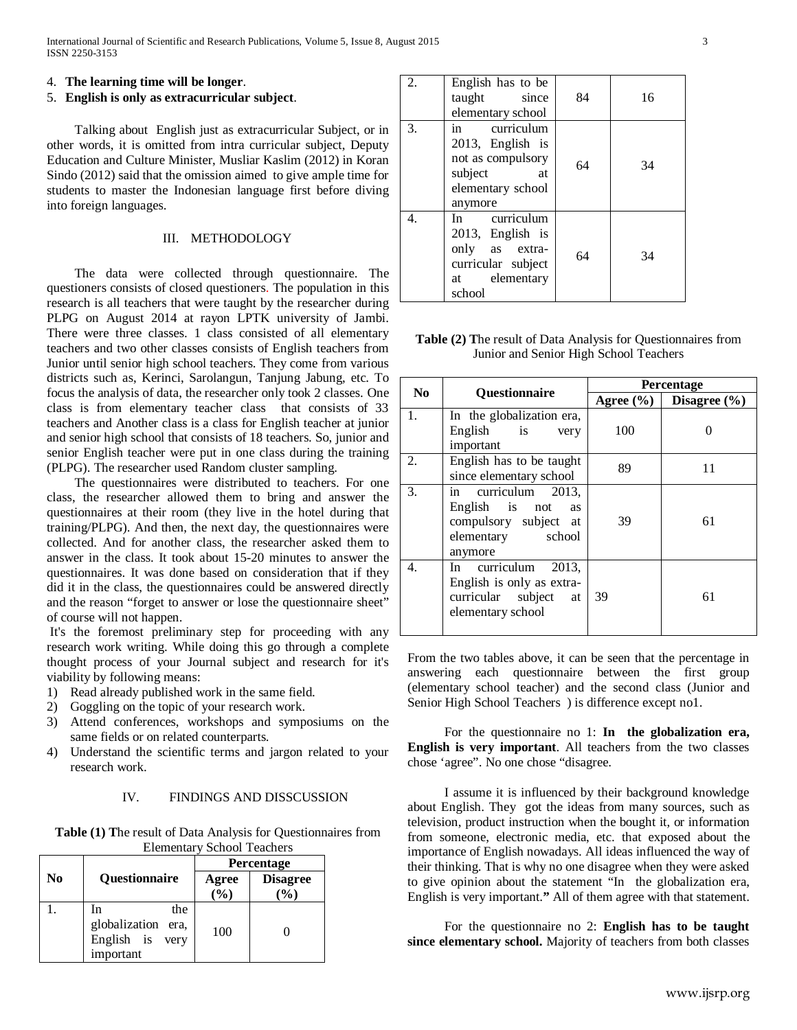#### 4. **The learning time will be longer**.

#### 5. **English is only as extracurricular subject**.

Talking about English just as extracurricular Subject, or in other words, it is omitted from intra curricular subject, Deputy Education and Culture Minister, Musliar Kaslim (2012) in Koran Sindo (2012) said that the omission aimed to give ample time for students to master the Indonesian language first before diving into foreign languages.

#### III. METHODOLOGY

The data were collected through questionnaire. The questioners consists of closed questioners. The population in this research is all teachers that were taught by the researcher during PLPG on August 2014 at rayon LPTK university of Jambi. There were three classes. 1 class consisted of all elementary teachers and two other classes consists of English teachers from Junior until senior high school teachers. They come from various districts such as, Kerinci, Sarolangun, Tanjung Jabung, etc. To focus the analysis of data, the researcher only took 2 classes. One class is from elementary teacher class that consists of 33 teachers and Another class is a class for English teacher at junior and senior high school that consists of 18 teachers. So, junior and senior English teacher were put in one class during the training (PLPG). The researcher used Random cluster sampling.

The questionnaires were distributed to teachers. For one class, the researcher allowed them to bring and answer the questionnaires at their room (they live in the hotel during that training/PLPG). And then, the next day, the questionnaires were collected. And for another class, the researcher asked them to answer in the class. It took about 15-20 minutes to answer the questionnaires. It was done based on consideration that if they did it in the class, the questionnaires could be answered directly and the reason "forget to answer or lose the questionnaire sheet" of course will not happen.

It's the foremost preliminary step for proceeding with any research work writing. While doing this go through a complete thought process of your Journal subject and research for it's viability by following means:

- 1) Read already published work in the same field.
- 2) Goggling on the topic of your research work.
- 3) Attend conferences, workshops and symposiums on the same fields or on related counterparts.
- 4) Understand the scientific terms and jargon related to your research work.

## IV. FINDINGS AND DISSCUSSION

**Table (1) T**he result of Data Analysis for Questionnaires from Elementary School Teachers

|          |                                                                 | Percentage     |                        |
|----------|-----------------------------------------------------------------|----------------|------------------------|
| $\bf No$ | Questionnaire                                                   | Agree<br>(9/0) | <b>Disagree</b><br>(%) |
|          | In<br>the<br>globalization era,<br>English is very<br>important | 100            |                        |

| 2. | English has to be<br>taught<br>since<br>elementary school                                               | 84 | 16 |
|----|---------------------------------------------------------------------------------------------------------|----|----|
| 3. | in curriculum<br>2013, English is<br>not as compulsory<br>subject<br>at<br>elementary school<br>anymore | 64 | 34 |
| 4. | In curriculum<br>2013, English is<br>only as extra-<br>curricular subject<br>at elementary<br>school    | 64 | 34 |

**Table (2) T**he result of Data Analysis for Questionnaires from Junior and Senior High School Teachers

| N <sub>0</sub> | Questionnaire                                                                                               | Percentage    |                  |
|----------------|-------------------------------------------------------------------------------------------------------------|---------------|------------------|
|                |                                                                                                             | Agree $(\% )$ | Disagree $(\% )$ |
| 1.             | In the globalization era,<br>English is<br>very<br>important                                                | 100           |                  |
| 2.             | English has to be taught<br>since elementary school                                                         | 89            | 11               |
| 3.             | in curriculum 2013,<br>English is not<br><b>as</b><br>compulsory subject at<br>elementary school<br>anymore | 39            | 61               |
| 4.             | In curriculum 2013,<br>English is only as extra-<br>curricular subject<br>at<br>elementary school           | 39            | 61               |

From the two tables above, it can be seen that the percentage in answering each questionnaire between the first group (elementary school teacher) and the second class (Junior and Senior High School Teachers ) is difference except no1.

For the questionnaire no 1: **In the globalization era, English is very important**. All teachers from the two classes chose 'agree". No one chose "disagree.

I assume it is influenced by their background knowledge about English. They got the ideas from many sources, such as television, product instruction when the bought it, or information from someone, electronic media, etc. that exposed about the importance of English nowadays. All ideas influenced the way of their thinking. That is why no one disagree when they were asked to give opinion about the statement "In the globalization era, English is very important.**"** All of them agree with that statement.

For the questionnaire no 2: **English has to be taught since elementary school.** Majority of teachers from both classes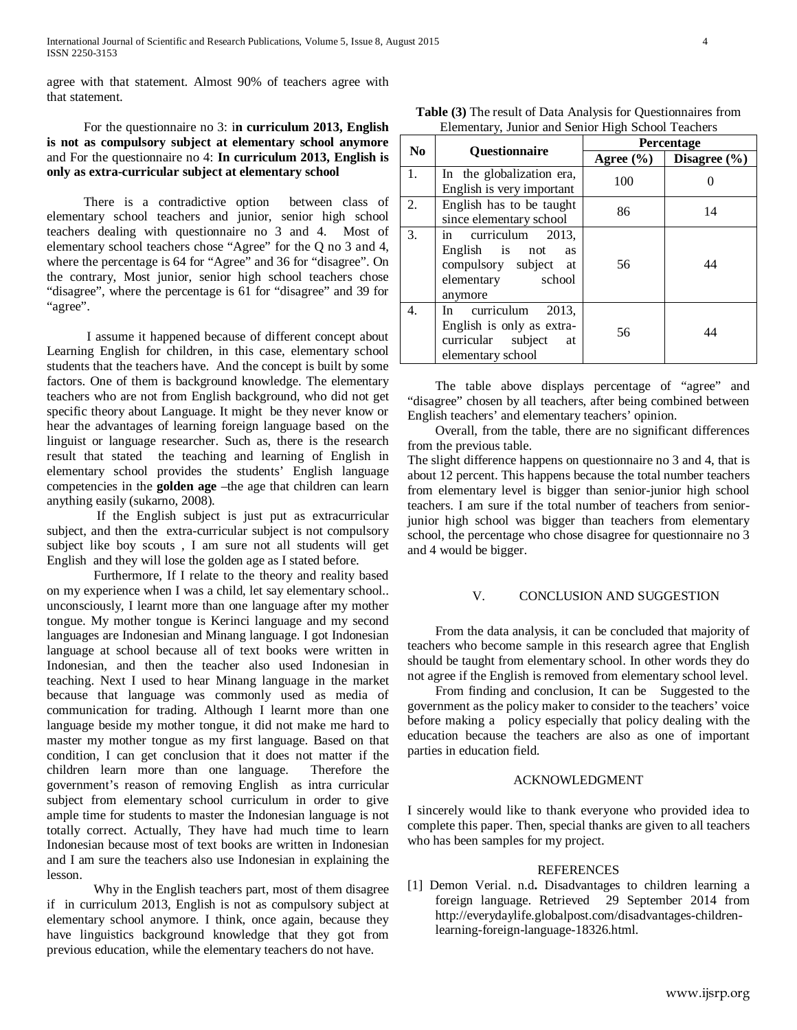agree with that statement. Almost 90% of teachers agree with that statement.

For the questionnaire no 3: i**n curriculum 2013, English is not as compulsory subject at elementary school anymore**  and For the questionnaire no 4: **In curriculum 2013, English is only as extra-curricular subject at elementary school**

There is a contradictive option between class of elementary school teachers and junior, senior high school teachers dealing with questionnaire no 3 and 4. Most of elementary school teachers chose "Agree" for the Q no 3 and 4, where the percentage is 64 for "Agree" and 36 for "disagree". On the contrary, Most junior, senior high school teachers chose "disagree", where the percentage is 61 for "disagree" and 39 for "agree".

I assume it happened because of different concept about Learning English for children, in this case, elementary school students that the teachers have. And the concept is built by some factors. One of them is background knowledge. The elementary teachers who are not from English background, who did not get specific theory about Language. It might be they never know or hear the advantages of learning foreign language based on the linguist or language researcher. Such as, there is the research result that stated the teaching and learning of English in elementary school provides the students' English language competencies in the **golden age** –the age that children can learn anything easily (sukarno, 2008).

If the English subject is just put as extracurricular subject, and then the extra-curricular subject is not compulsory subject like boy scouts , I am sure not all students will get English and they will lose the golden age as I stated before.

Furthermore, If I relate to the theory and reality based on my experience when I was a child, let say elementary school.. unconsciously, I learnt more than one language after my mother tongue. My mother tongue is Kerinci language and my second languages are Indonesian and Minang language. I got Indonesian language at school because all of text books were written in Indonesian, and then the teacher also used Indonesian in teaching. Next I used to hear Minang language in the market because that language was commonly used as media of communication for trading. Although I learnt more than one language beside my mother tongue, it did not make me hard to master my mother tongue as my first language. Based on that condition, I can get conclusion that it does not matter if the children learn more than one language. Therefore the government's reason of removing English as intra curricular subject from elementary school curriculum in order to give ample time for students to master the Indonesian language is not totally correct. Actually, They have had much time to learn Indonesian because most of text books are written in Indonesian and I am sure the teachers also use Indonesian in explaining the lesson.

Why in the English teachers part, most of them disagree if in curriculum 2013, English is not as compulsory subject at elementary school anymore. I think, once again, because they have linguistics background knowledge that they got from previous education, while the elementary teachers do not have.

| <b>Table (3)</b> The result of Data Analysis for Questionnaires from |
|----------------------------------------------------------------------|
| Elementary, Junior and Senior High School Teachers                   |

| N <sub>0</sub> | <b>Ouestionnaire</b>                                                                                           | Percentage    |                  |
|----------------|----------------------------------------------------------------------------------------------------------------|---------------|------------------|
|                |                                                                                                                | Agree $(\% )$ | Disagree $(\% )$ |
| 1.             | In the globalization era,                                                                                      | 100           |                  |
|                | English is very important                                                                                      |               |                  |
| 2.             | English has to be taught                                                                                       | 86            | 14               |
|                | since elementary school                                                                                        |               |                  |
| 3.             | in curriculum 2013,<br>English is not<br><b>as</b><br>compulsory subject at<br>elementary<br>school<br>anymore | 56            | 44               |
| 4.             | In curriculum<br>2013.<br>English is only as extra-<br>curricular subject<br>at<br>elementary school           | 56            | 44               |

The table above displays percentage of "agree" and "disagree" chosen by all teachers, after being combined between English teachers' and elementary teachers' opinion.

 Overall, from the table, there are no significant differences from the previous table.

The slight difference happens on questionnaire no 3 and 4, that is about 12 percent. This happens because the total number teachers from elementary level is bigger than senior-junior high school teachers. I am sure if the total number of teachers from seniorjunior high school was bigger than teachers from elementary school, the percentage who chose disagree for questionnaire no 3 and 4 would be bigger.

## V. CONCLUSION AND SUGGESTION

From the data analysis, it can be concluded that majority of teachers who become sample in this research agree that English should be taught from elementary school. In other words they do not agree if the English is removed from elementary school level.

From finding and conclusion, It can be Suggested to the government as the policy maker to consider to the teachers' voice before making a policy especially that policy dealing with the education because the teachers are also as one of important parties in education field.

## ACKNOWLEDGMENT

I sincerely would like to thank everyone who provided idea to complete this paper. Then, special thanks are given to all teachers who has been samples for my project.

#### REFERENCES

[1] Demon Verial. n.d**.** Disadvantages to children learning a foreign language. Retrieved 29 September 2014 from http://everydaylife.globalpost.com/disadvantages-childrenlearning-foreign-language-18326.html.